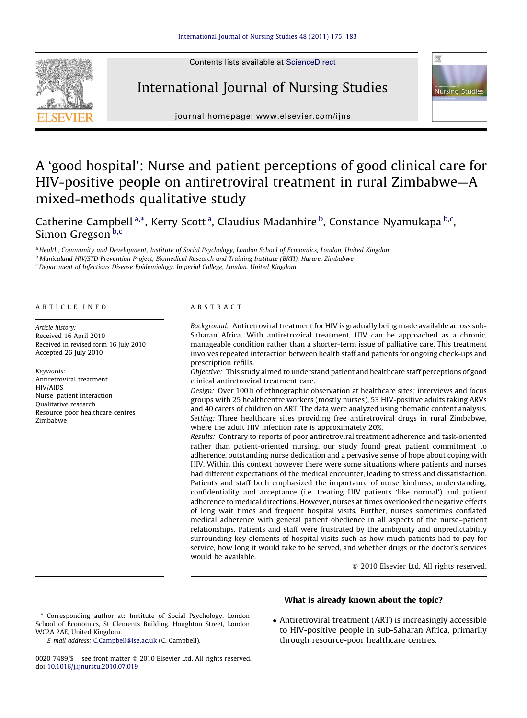Contents lists available at [ScienceDirect](http://www.sciencedirect.com/science/journal/00207489)



# International Journal of Nursing Studies



journal homepage: www.elsevier.com/ijns

# A 'good hospital': Nurse and patient perceptions of good clinical care for HIV-positive people on antiretroviral treatment in rural Zimbabwe—A mixed-methods qualitative study

Catherine Campbell<sup>a,\*</sup>, Kerry Scott<sup>a</sup>, Claudius Madanhire <sup>b</sup>, Constance Nyamukapa <sup>b,c</sup>, Simon Gregson<sup>b,c</sup>

a Health, Community and Development, Institute of Social Psychology, London School of Economics, London, United Kingdom

<sup>b</sup> Manicaland HIV/STD Prevention Project, Biomedical Research and Training Institute (BRTI), Harare, Zimbabwe

<sup>c</sup> Department of Infectious Disease Epidemiology, Imperial College, London, United Kingdom

#### ARTICLE INFO

Article history: Received 16 April 2010 Received in revised form 16 July 2010 Accepted 26 July 2010

Keywords: Antiretroviral treatment HIV/AIDS Nurse–patient interaction Qualitative research Resource-poor healthcare centres Zimbabwe

# ABSTRACT

Background: Antiretroviral treatment for HIV is gradually being made available across sub-Saharan Africa. With antiretroviral treatment, HIV can be approached as a chronic, manageable condition rather than a shorter-term issue of palliative care. This treatment involves repeated interaction between health staff and patients for ongoing check-ups and prescription refills.

Objective: This study aimed to understand patient and healthcare staff perceptions of good clinical antiretroviral treatment care.

Design: Over 100 h of ethnographic observation at healthcare sites; interviews and focus groups with 25 healthcentre workers (mostly nurses), 53 HIV-positive adults taking ARVs and 40 carers of children on ART. The data were analyzed using thematic content analysis. Setting: Three healthcare sites providing free antiretroviral drugs in rural Zimbabwe, where the adult HIV infection rate is approximately 20%.

Results: Contrary to reports of poor antiretroviral treatment adherence and task-oriented rather than patient-oriented nursing, our study found great patient commitment to adherence, outstanding nurse dedication and a pervasive sense of hope about coping with HIV. Within this context however there were some situations where patients and nurses had different expectations of the medical encounter, leading to stress and dissatisfaction. Patients and staff both emphasized the importance of nurse kindness, understanding, confidentiality and acceptance (i.e. treating HIV patients 'like normal') and patient adherence to medical directions. However, nurses at times overlooked the negative effects of long wait times and frequent hospital visits. Further, nurses sometimes conflated medical adherence with general patient obedience in all aspects of the nurse–patient relationships. Patients and staff were frustrated by the ambiguity and unpredictability surrounding key elements of hospital visits such as how much patients had to pay for service, how long it would take to be served, and whether drugs or the doctor's services would be available.

- 2010 Elsevier Ltd. All rights reserved.

### What is already known about the topic?

- Antiretroviral treatment (ART) is increasingly accessible to HIV-positive people in sub-Saharan Africa, primarily through resource-poor healthcare centres.

<sup>\*</sup> Corresponding author at: Institute of Social Psychology, London School of Economics, St Clements Building, Houghton Street, London WC2A 2AE, United Kingdom.

E-mail address: [C.Campbell@lse.ac.uk](mailto:C.Campbell@lse.ac.uk) (C. Campbell).

<sup>0020-7489/\$ –</sup> see front matter © 2010 Elsevier Ltd. All rights reserved. doi:[10.1016/j.ijnurstu.2010.07.019](http://dx.doi.org/10.1016/j.ijnurstu.2010.07.019)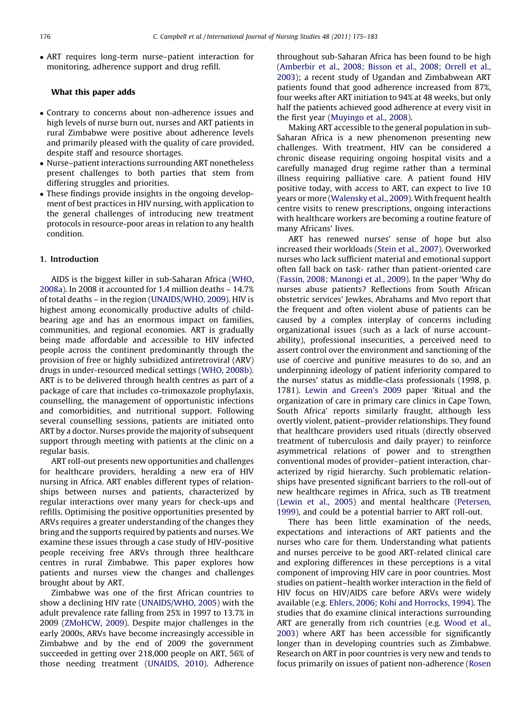- ART requires long-term nurse–patient interaction for monitoring, adherence support and drug refill.

## What this paper adds

- Contrary to concerns about non-adherence issues and high levels of nurse burn out, nurses and ART patients in rural Zimbabwe were positive about adherence levels and primarily pleased with the quality of care provided, despite staff and resource shortages.
- Nurse–patient interactions surrounding ART nonetheless present challenges to both parties that stem from differing struggles and priorities.
- These findings provide insights in the ongoing development of best practices in HIV nursing, with application to the general challenges of introducing new treatment protocols in resource-poor areas in relation to any health condition.

# 1. Introduction

AIDS is the biggest killer in sub-Saharan Africa ([WHO,](#page-8-0) [2008a\)](#page-8-0). In 2008 it accounted for 1.4 million deaths – 14.7% of total deaths – in the region [\(UNAIDS/WHO, 2009](#page-8-0)). HIV is highest among economically productive adults of childbearing age and has an enormous impact on families, communities, and regional economies. ART is gradually being made affordable and accessible to HIV infected people across the continent predominantly through the provision of free or highly subsidized antiretroviral (ARV) drugs in under-resourced medical settings [\(WHO, 2008b](#page-8-0)). ART is to be delivered through health centres as part of a package of care that includes co-trimoxazole prophylaxis, counselling, the management of opportunistic infections and comorbidities, and nutritional support. Following several counselling sessions, patients are initiated onto ART by a doctor. Nurses provide the majority of subsequent support through meeting with patients at the clinic on a regular basis.

ART roll-out presents new opportunities and challenges for healthcare providers, heralding a new era of HIV nursing in Africa. ART enables different types of relationships between nurses and patients, characterized by regular interactions over many years for check-ups and refills. Optimising the positive opportunities presented by ARVs requires a greater understanding of the changes they bring and the supports required by patients and nurses. We examine these issues through a case study of HIV-positive people receiving free ARVs through three healthcare centres in rural Zimbabwe. This paper explores how patients and nurses view the changes and challenges brought about by ART.

Zimbabwe was one of the first African countries to show a declining HIV rate [\(UNAIDS/WHO, 2005](#page-8-0)) with the adult prevalence rate falling from 25% in 1997 to 13.7% in 2009 ([ZMoHCW, 2009](#page-8-0)). Despite major challenges in the early 2000s, ARVs have become increasingly accessible in Zimbabwe and by the end of 2009 the government succeeded in getting over 218,000 people on ART, 56% of those needing treatment ([UNAIDS, 2010](#page-8-0)). Adherence throughout sub-Saharan Africa has been found to be high [\(Amberbir et al., 2008; Bisson et al., 2008; Orrell et al.,](#page-8-0) [2003](#page-8-0)); a recent study of Ugandan and Zimbabwean ART patients found that good adherence increased from 87%, four weeks after ART initiation to 94% at 48 weeks, but only half the patients achieved good adherence at every visit in the first year ([Muyingo et al., 2008](#page-8-0)).

Making ART accessible to the general population in sub-Saharan Africa is a new phenomenon presenting new challenges. With treatment, HIV can be considered a chronic disease requiring ongoing hospital visits and a carefully managed drug regime rather than a terminal illness requiring palliative care. A patient found HIV positive today, with access to ART, can expect to live 10 years or more [\(Walensky et al., 2009\)](#page-8-0). With frequent health centre visits to renew prescriptions, ongoing interactions with healthcare workers are becoming a routine feature of many Africans' lives.

ART has renewed nurses' sense of hope but also increased their workloads [\(Stein et al., 2007](#page-8-0)). Overworked nurses who lack sufficient material and emotional support often fall back on task- rather than patient-oriented care [\(Fassin, 2008; Manongi et al., 2009](#page-8-0)). In the paper 'Why do nurses abuse patients? Reflections from South African obstetric services' Jewkes, Abrahams and Mvo report that the frequent and often violent abuse of patients can be caused by a complex interplay of concerns including organizational issues (such as a lack of nurse accountability), professional insecurities, a perceived need to assert control over the environment and sanctioning of the use of coercive and punitive measures to do so, and an underpinning ideology of patient inferiority compared to the nurses' status as middle-class professionals (1998, p. 1781). [Lewin and Green's 2009](#page-8-0) paper 'Ritual and the organization of care in primary care clinics in Cape Town, South Africa' reports similarly fraught, although less overtly violent, patient–provider relationships. They found that healthcare providers used rituals (directly observed treatment of tuberculosis and daily prayer) to reinforce asymmetrical relations of power and to strengthen conventional modes of provider–patient interaction, characterized by rigid hierarchy. Such problematic relationships have presented significant barriers to the roll-out of new healthcare regimes in Africa, such as TB treatment [\(Lewin et al., 2005\)](#page-8-0) and mental healthcare ([Petersen,](#page-8-0) [1999\)](#page-8-0), and could be a potential barrier to ART roll-out.

There has been little examination of the needs, expectations and interactions of ART patients and the nurses who care for them. Understanding what patients and nurses perceive to be good ART-related clinical care and exploring differences in these perceptions is a vital component of improving HIV care in poor countries. Most studies on patient–health worker interaction in the field of HIV focus on HIV/AIDS care before ARVs were widely available (e.g. [Ehlers, 2006; Kohi and Horrocks, 1994](#page-8-0)). The studies that do examine clinical interactions surrounding ART are generally from rich countries (e.g. [Wood et al.,](#page-8-0) [2003](#page-8-0)) where ART has been accessible for significantly longer than in developing countries such as Zimbabwe. Research on ART in poor countries is very new and tends to focus primarily on issues of patient non-adherence ([Rosen](#page-8-0)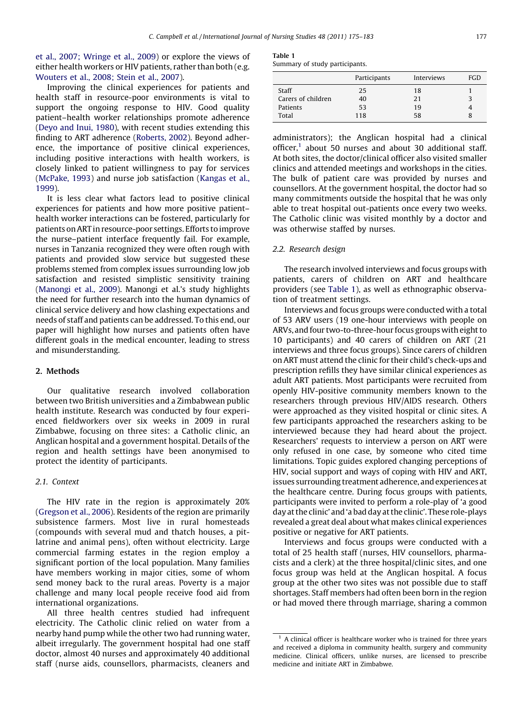[et al., 2007; Wringe et al., 2009](#page-8-0)) or explore the views of either health workers or HIV patients, rather than both (e.g. [Wouters et al., 2008; Stein et al., 2007\)](#page-8-0).

Improving the clinical experiences for patients and health staff in resource-poor environments is vital to support the ongoing response to HIV. Good quality patient–health worker relationships promote adherence ([Deyo and Inui, 1980](#page-8-0)), with recent studies extending this finding to ART adherence ([Roberts, 2002\)](#page-8-0). Beyond adherence, the importance of positive clinical experiences, including positive interactions with health workers, is closely linked to patient willingness to pay for services ([McPake, 1993\)](#page-8-0) and nurse job satisfaction ([Kangas et al.,](#page-8-0) [1999](#page-8-0)).

It is less clear what factors lead to positive clinical experiences for patients and how more positive patient– health worker interactions can be fostered, particularly for patients on ART in resource-poor settings. Efforts to improve the nurse–patient interface frequently fail. For example, nurses in Tanzania recognized they were often rough with patients and provided slow service but suggested these problems stemed from complex issues surrounding low job satisfaction and resisted simplistic sensitivity training ([Manongi et al., 2009](#page-8-0)). Manongi et al.'s study highlights the need for further research into the human dynamics of clinical service delivery and how clashing expectations and needs of staff and patients can be addressed. To this end, our paper will highlight how nurses and patients often have different goals in the medical encounter, leading to stress and misunderstanding.

# 2. Methods

Our qualitative research involved collaboration between two British universities and a Zimbabwean public health institute. Research was conducted by four experienced fieldworkers over six weeks in 2009 in rural Zimbabwe, focusing on three sites: a Catholic clinic, an Anglican hospital and a government hospital. Details of the region and health settings have been anonymised to protect the identity of participants.

# 2.1. Context

The HIV rate in the region is approximately 20% ([Gregson et al., 2006\)](#page-8-0). Residents of the region are primarily subsistence farmers. Most live in rural homesteads (compounds with several mud and thatch houses, a pitlatrine and animal pens), often without electricity. Large commercial farming estates in the region employ a significant portion of the local population. Many families have members working in major cities, some of whom send money back to the rural areas. Poverty is a major challenge and many local people receive food aid from international organizations.

All three health centres studied had infrequent electricity. The Catholic clinic relied on water from a nearby hand pump while the other two had running water, albeit irregularly. The government hospital had one staff doctor, almost 40 nurses and approximately 40 additional staff (nurse aids, counsellors, pharmacists, cleaners and

Table 1 Summary of study participants.

|                    | Participants | Interviews | <b>FGD</b> |
|--------------------|--------------|------------|------------|
| Staff              | 25           | 18         |            |
| Carers of children | 40           | 21         |            |
| Patients           | 53           | 19         |            |
| Total              | 118          | 58         |            |

administrators); the Anglican hospital had a clinical officer, $1$  about 50 nurses and about 30 additional staff. At both sites, the doctor/clinical officer also visited smaller clinics and attended meetings and workshops in the cities. The bulk of patient care was provided by nurses and counsellors. At the government hospital, the doctor had so many commitments outside the hospital that he was only able to treat hospital out-patients once every two weeks. The Catholic clinic was visited monthly by a doctor and was otherwise staffed by nurses.

### 2.2. Research design

The research involved interviews and focus groups with patients, carers of children on ART and healthcare providers (see Table 1), as well as ethnographic observation of treatment settings.

Interviews and focus groups were conducted with a total of 53 ARV users (19 one-hour interviews with people on ARVs, and four two-to-three-hour focus groups with eight to 10 participants) and 40 carers of children on ART (21 interviews and three focus groups). Since carers of children on ART must attend the clinic for their child's check-ups and prescription refills they have similar clinical experiences as adult ART patients. Most participants were recruited from openly HIV-positive community members known to the researchers through previous HIV/AIDS research. Others were approached as they visited hospital or clinic sites. A few participants approached the researchers asking to be interviewed because they had heard about the project. Researchers' requests to interview a person on ART were only refused in one case, by someone who cited time limitations. Topic guides explored changing perceptions of HIV, social support and ways of coping with HIV and ART, issues surrounding treatment adherence, and experiences at the healthcare centre. During focus groups with patients, participants were invited to perform a role-play of 'a good day at the clinic' and 'a bad day at the clinic'. These role-plays revealed a great deal about what makes clinical experiences positive or negative for ART patients.

Interviews and focus groups were conducted with a total of 25 health staff (nurses, HIV counsellors, pharmacists and a clerk) at the three hospital/clinic sites, and one focus group was held at the Anglican hospital. A focus group at the other two sites was not possible due to staff shortages. Staff members had often been born in the region or had moved there through marriage, sharing a common

 $<sup>1</sup>$  A clinical officer is healthcare worker who is trained for three years</sup> and received a diploma in community health, surgery and community medicine. Clinical officers, unlike nurses, are licensed to prescribe medicine and initiate ART in Zimbabwe.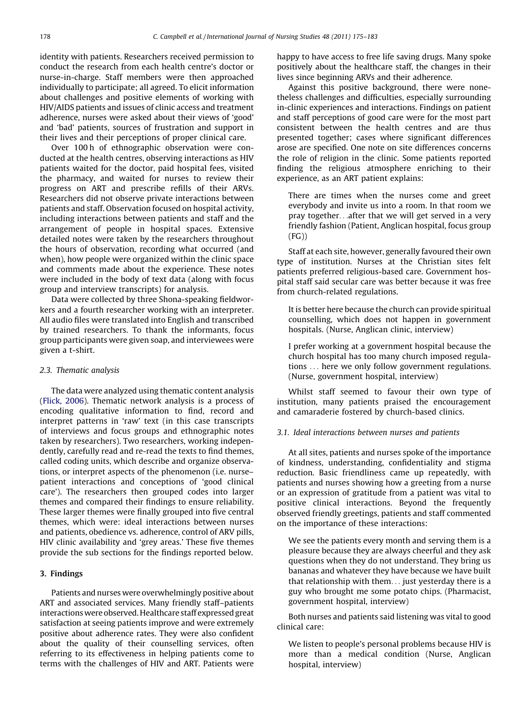identity with patients. Researchers received permission to conduct the research from each health centre's doctor or nurse-in-charge. Staff members were then approached individually to participate; all agreed. To elicit information about challenges and positive elements of working with HIV/AIDS patients and issues of clinic access and treatment adherence, nurses were asked about their views of 'good' and 'bad' patients, sources of frustration and support in their lives and their perceptions of proper clinical care.

Over 100 h of ethnographic observation were conducted at the health centres, observing interactions as HIV patients waited for the doctor, paid hospital fees, visited the pharmacy, and waited for nurses to review their progress on ART and prescribe refills of their ARVs. Researchers did not observe private interactions between patients and staff. Observation focused on hospital activity, including interactions between patients and staff and the arrangement of people in hospital spaces. Extensive detailed notes were taken by the researchers throughout the hours of observation, recording what occurred (and when), how people were organized within the clinic space and comments made about the experience. These notes were included in the body of text data (along with focus group and interview transcripts) for analysis.

Data were collected by three Shona-speaking fieldworkers and a fourth researcher working with an interpreter. All audio files were translated into English and transcribed by trained researchers. To thank the informants, focus group participants were given soap, and interviewees were given a t-shirt.

#### 2.3. Thematic analysis

The data were analyzed using thematic content analysis [\(Flick, 2006\)](#page-8-0). Thematic network analysis is a process of encoding qualitative information to find, record and interpret patterns in 'raw' text (in this case transcripts of interviews and focus groups and ethnographic notes taken by researchers). Two researchers, working independently, carefully read and re-read the texts to find themes, called coding units, which describe and organize observations, or interpret aspects of the phenomenon (i.e. nurse– patient interactions and conceptions of 'good clinical care'). The researchers then grouped codes into larger themes and compared their findings to ensure reliability. These larger themes were finally grouped into five central themes, which were: ideal interactions between nurses and patients, obedience vs. adherence, control of ARV pills, HIV clinic availability and 'grey areas.' These five themes provide the sub sections for the findings reported below.

# 3. Findings

Patients and nurses were overwhelmingly positive about ART and associated services. Many friendly staff–patients interactionswere observed. Healthcare staff expressed great satisfaction at seeing patients improve and were extremely positive about adherence rates. They were also confident about the quality of their counselling services, often referring to its effectiveness in helping patients come to terms with the challenges of HIV and ART. Patients were happy to have access to free life saving drugs. Many spoke positively about the healthcare staff, the changes in their lives since beginning ARVs and their adherence.

Against this positive background, there were nonetheless challenges and difficulties, especially surrounding in-clinic experiences and interactions. Findings on patient and staff perceptions of good care were for the most part consistent between the health centres and are thus presented together; cases where significant differences arose are specified. One note on site differences concerns the role of religion in the clinic. Some patients reported finding the religious atmosphere enriching to their experience, as an ART patient explains:

There are times when the nurses come and greet everybody and invite us into a room. In that room we pray together...after that we will get served in a very friendly fashion (Patient, Anglican hospital, focus group (FG))

Staff at each site, however, generally favoured their own type of institution. Nurses at the Christian sites felt patients preferred religious-based care. Government hospital staff said secular care was better because it was free from church-related regulations.

It is better here because the church can provide spiritual counselling, which does not happen in government hospitals. (Nurse, Anglican clinic, interview)

I prefer working at a government hospital because the church hospital has too many church imposed regulations ... here we only follow government regulations. (Nurse, government hospital, interview)

Whilst staff seemed to favour their own type of institution, many patients praised the encouragement and camaraderie fostered by church-based clinics.

#### 3.1. Ideal interactions between nurses and patients

At all sites, patients and nurses spoke of the importance of kindness, understanding, confidentiality and stigma reduction. Basic friendliness came up repeatedly, with patients and nurses showing how a greeting from a nurse or an expression of gratitude from a patient was vital to positive clinical interactions. Beyond the frequently observed friendly greetings, patients and staff commented on the importance of these interactions:

We see the patients every month and serving them is a pleasure because they are always cheerful and they ask questions when they do not understand. They bring us bananas and whatever they have because we have built that relationship with them... just yesterday there is a guy who brought me some potato chips. (Pharmacist, government hospital, interview)

Both nurses and patients said listening was vital to good clinical care:

We listen to people's personal problems because HIV is more than a medical condition (Nurse, Anglican hospital, interview)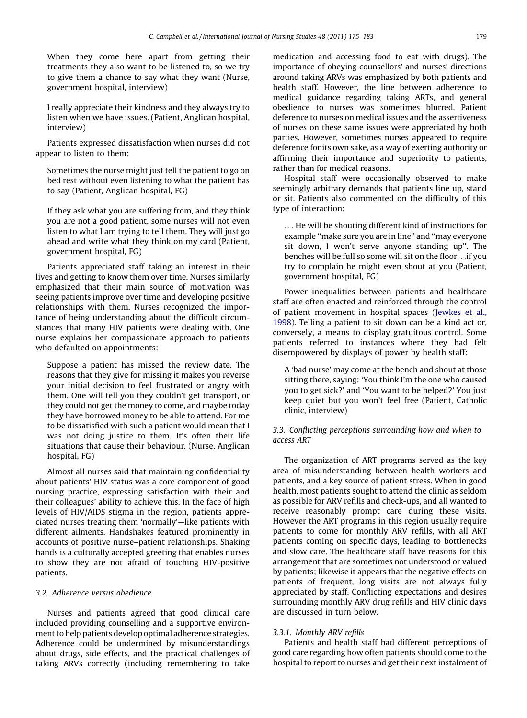When they come here apart from getting their treatments they also want to be listened to, so we try to give them a chance to say what they want (Nurse, government hospital, interview)

I really appreciate their kindness and they always try to listen when we have issues. (Patient, Anglican hospital, interview)

Patients expressed dissatisfaction when nurses did not appear to listen to them:

Sometimes the nurse might just tell the patient to go on bed rest without even listening to what the patient has to say (Patient, Anglican hospital, FG)

If they ask what you are suffering from, and they think you are not a good patient, some nurses will not even listen to what I am trying to tell them. They will just go ahead and write what they think on my card (Patient, government hospital, FG)

Patients appreciated staff taking an interest in their lives and getting to know them over time. Nurses similarly emphasized that their main source of motivation was seeing patients improve over time and developing positive relationships with them. Nurses recognized the importance of being understanding about the difficult circumstances that many HIV patients were dealing with. One nurse explains her compassionate approach to patients who defaulted on appointments:

Suppose a patient has missed the review date. The reasons that they give for missing it makes you reverse your initial decision to feel frustrated or angry with them. One will tell you they couldn't get transport, or they could not get the money to come, and maybe today they have borrowed money to be able to attend. For me to be dissatisfied with such a patient would mean that I was not doing justice to them. It's often their life situations that cause their behaviour. (Nurse, Anglican hospital, FG)

Almost all nurses said that maintaining confidentiality about patients' HIV status was a core component of good nursing practice, expressing satisfaction with their and their colleagues' ability to achieve this. In the face of high levels of HIV/AIDS stigma in the region, patients appreciated nurses treating them 'normally'—like patients with different ailments. Handshakes featured prominently in accounts of positive nurse–patient relationships. Shaking hands is a culturally accepted greeting that enables nurses to show they are not afraid of touching HIV-positive patients.

### 3.2. Adherence versus obedience

Nurses and patients agreed that good clinical care included providing counselling and a supportive environment to help patients develop optimal adherence strategies. Adherence could be undermined by misunderstandings about drugs, side effects, and the practical challenges of taking ARVs correctly (including remembering to take

medication and accessing food to eat with drugs). The importance of obeying counsellors' and nurses' directions around taking ARVs was emphasized by both patients and health staff. However, the line between adherence to medical guidance regarding taking ARTs, and general obedience to nurses was sometimes blurred. Patient deference to nurses on medical issues and the assertiveness of nurses on these same issues were appreciated by both parties. However, sometimes nurses appeared to require deference for its own sake, as a way of exerting authority or affirming their importance and superiority to patients, rather than for medical reasons.

Hospital staff were occasionally observed to make seemingly arbitrary demands that patients line up, stand or sit. Patients also commented on the difficulty of this type of interaction:

... He will be shouting different kind of instructions for example ''make sure you are in line'' and ''may everyone sit down, I won't serve anyone standing up''. The benches will be full so some will sit on the floor...if you try to complain he might even shout at you (Patient, government hospital, FG)

Power inequalities between patients and healthcare staff are often enacted and reinforced through the control of patient movement in hospital spaces ([Jewkes et al.,](#page-8-0) [1998](#page-8-0)). Telling a patient to sit down can be a kind act or, conversely, a means to display gratuitous control. Some patients referred to instances where they had felt disempowered by displays of power by health staff:

A 'bad nurse' may come at the bench and shout at those sitting there, saying: 'You think I'm the one who caused you to get sick?' and 'You want to be helped?' You just keep quiet but you won't feel free (Patient, Catholic clinic, interview)

# 3.3. Conflicting perceptions surrounding how and when to access ART

The organization of ART programs served as the key area of misunderstanding between health workers and patients, and a key source of patient stress. When in good health, most patients sought to attend the clinic as seldom as possible for ARV refills and check-ups, and all wanted to receive reasonably prompt care during these visits. However the ART programs in this region usually require patients to come for monthly ARV refills, with all ART patients coming on specific days, leading to bottlenecks and slow care. The healthcare staff have reasons for this arrangement that are sometimes not understood or valued by patients; likewise it appears that the negative effects on patients of frequent, long visits are not always fully appreciated by staff. Conflicting expectations and desires surrounding monthly ARV drug refills and HIV clinic days are discussed in turn below.

## 3.3.1. Monthly ARV refills

Patients and health staff had different perceptions of good care regarding how often patients should come to the hospital to report to nurses and get their next instalment of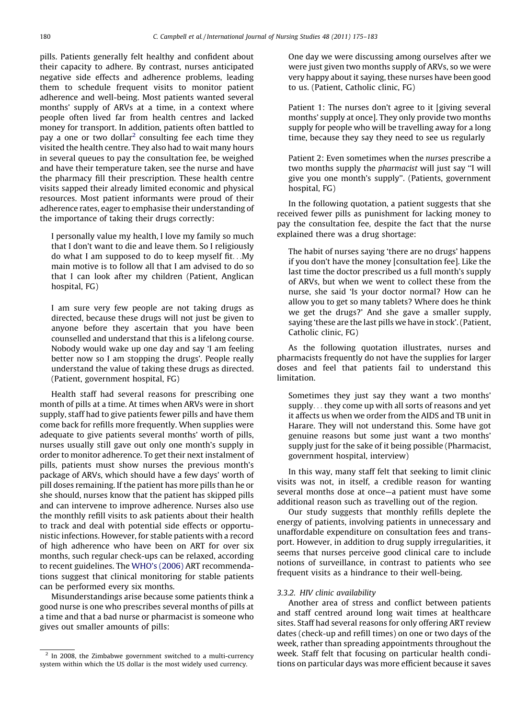pills. Patients generally felt healthy and confident about their capacity to adhere. By contrast, nurses anticipated negative side effects and adherence problems, leading them to schedule frequent visits to monitor patient adherence and well-being. Most patients wanted several months' supply of ARVs at a time, in a context where people often lived far from health centres and lacked money for transport. In addition, patients often battled to pay a one or two dollar<sup>2</sup> consulting fee each time they visited the health centre. They also had to wait many hours in several queues to pay the consultation fee, be weighed and have their temperature taken, see the nurse and have the pharmacy fill their prescription. These health centre visits sapped their already limited economic and physical resources. Most patient informants were proud of their adherence rates, eager to emphasise their understanding of the importance of taking their drugs correctly:

I personally value my health, I love my family so much that I don't want to die and leave them. So I religiously do what I am supposed to do to keep myself fit...My main motive is to follow all that I am advised to do so that I can look after my children (Patient, Anglican hospital, FG)

I am sure very few people are not taking drugs as directed, because these drugs will not just be given to anyone before they ascertain that you have been counselled and understand that this is a lifelong course. Nobody would wake up one day and say 'I am feeling better now so I am stopping the drugs'. People really understand the value of taking these drugs as directed. (Patient, government hospital, FG)

Health staff had several reasons for prescribing one month of pills at a time. At times when ARVs were in short supply, staff had to give patients fewer pills and have them come back for refills more frequently. When supplies were adequate to give patients several months' worth of pills, nurses usually still gave out only one month's supply in order to monitor adherence. To get their next instalment of pills, patients must show nurses the previous month's package of ARVs, which should have a few days' worth of pill doses remaining. If the patient has more pills than he or she should, nurses know that the patient has skipped pills and can intervene to improve adherence. Nurses also use the monthly refill visits to ask patients about their health to track and deal with potential side effects or opportunistic infections. However, for stable patients with a record of high adherence who have been on ART for over six months, such regular check-ups can be relaxed, according to recent guidelines. The [WHO's \(2006\)](#page-8-0) ART recommendations suggest that clinical monitoring for stable patients can be performed every six months.

Misunderstandings arise because some patients think a good nurse is one who prescribes several months of pills at a time and that a bad nurse or pharmacist is someone who gives out smaller amounts of pills:

One day we were discussing among ourselves after we were just given two months supply of ARVs, so we were very happy about it saying, these nurses have been good to us. (Patient, Catholic clinic, FG)

Patient 1: The nurses don't agree to it [giving several months' supply at once]. They only provide two months supply for people who will be travelling away for a long time, because they say they need to see us regularly

Patient 2: Even sometimes when the nurses prescribe a two months supply the pharmacist will just say ''I will give you one month's supply''. (Patients, government hospital, FG)

In the following quotation, a patient suggests that she received fewer pills as punishment for lacking money to pay the consultation fee, despite the fact that the nurse explained there was a drug shortage:

The habit of nurses saying 'there are no drugs' happens if you don't have the money [consultation fee]. Like the last time the doctor prescribed us a full month's supply of ARVs, but when we went to collect these from the nurse, she said 'Is your doctor normal? How can he allow you to get so many tablets? Where does he think we get the drugs?' And she gave a smaller supply, saying 'these are the last pills we have in stock'. (Patient, Catholic clinic, FG)

As the following quotation illustrates, nurses and pharmacists frequently do not have the supplies for larger doses and feel that patients fail to understand this limitation.

Sometimes they just say they want a two months' supply... they come up with all sorts of reasons and yet it affects us when we order from the AIDS and TB unit in Harare. They will not understand this. Some have got genuine reasons but some just want a two months' supply just for the sake of it being possible (Pharmacist, government hospital, interview)

In this way, many staff felt that seeking to limit clinic visits was not, in itself, a credible reason for wanting several months dose at once—a patient must have some additional reason such as travelling out of the region.

Our study suggests that monthly refills deplete the energy of patients, involving patients in unnecessary and unaffordable expenditure on consultation fees and transport. However, in addition to drug supply irregularities, it seems that nurses perceive good clinical care to include notions of surveillance, in contrast to patients who see frequent visits as a hindrance to their well-being.

#### 3.3.2. HIV clinic availability

Another area of stress and conflict between patients and staff centred around long wait times at healthcare sites. Staff had several reasons for only offering ART review dates (check-up and refill times) on one or two days of the week, rather than spreading appointments throughout the week. Staff felt that focusing on particular health conditions on particular days was more efficient because it saves

<sup>2</sup> In 2008, the Zimbabwe government switched to a multi-currency system within which the US dollar is the most widely used currency.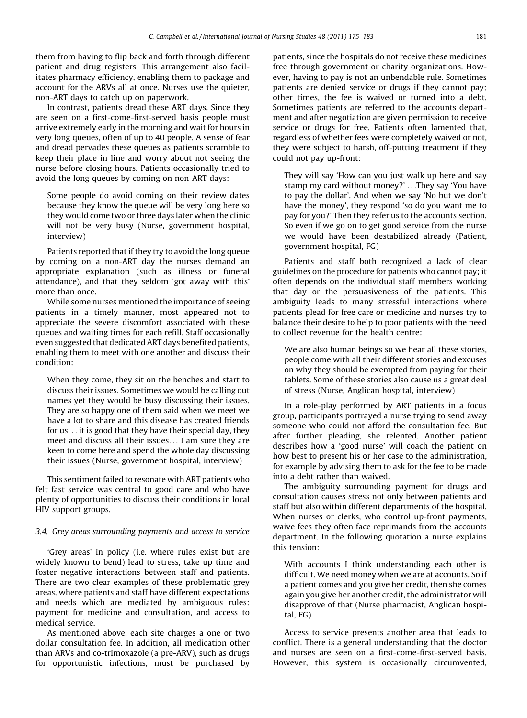them from having to flip back and forth through different patient and drug registers. This arrangement also facilitates pharmacy efficiency, enabling them to package and account for the ARVs all at once. Nurses use the quieter, non-ART days to catch up on paperwork.

In contrast, patients dread these ART days. Since they are seen on a first-come-first-served basis people must arrive extremely early in the morning and wait for hours in very long queues, often of up to 40 people. A sense of fear and dread pervades these queues as patients scramble to keep their place in line and worry about not seeing the nurse before closing hours. Patients occasionally tried to avoid the long queues by coming on non-ART days:

Some people do avoid coming on their review dates because they know the queue will be very long here so they would come two or three days later when the clinic will not be very busy (Nurse, government hospital, interview)

Patients reported that if they try to avoid the long queue by coming on a non-ART day the nurses demand an appropriate explanation (such as illness or funeral attendance), and that they seldom 'got away with this' more than once.

While some nurses mentioned the importance of seeing patients in a timely manner, most appeared not to appreciate the severe discomfort associated with these queues and waiting times for each refill. Staff occasionally even suggested that dedicated ART days benefited patients, enabling them to meet with one another and discuss their condition:

When they come, they sit on the benches and start to discuss their issues. Sometimes we would be calling out names yet they would be busy discussing their issues. They are so happy one of them said when we meet we have a lot to share and this disease has created friends for us... it is good that they have their special day, they meet and discuss all their issues... I am sure they are keen to come here and spend the whole day discussing their issues (Nurse, government hospital, interview)

This sentiment failed to resonate with ART patients who felt fast service was central to good care and who have plenty of opportunities to discuss their conditions in local HIV support groups.

## 3.4. Grey areas surrounding payments and access to service

'Grey areas' in policy (i.e. where rules exist but are widely known to bend) lead to stress, take up time and foster negative interactions between staff and patients. There are two clear examples of these problematic grey areas, where patients and staff have different expectations and needs which are mediated by ambiguous rules: payment for medicine and consultation, and access to medical service.

As mentioned above, each site charges a one or two dollar consultation fee. In addition, all medication other than ARVs and co-trimoxazole (a pre-ARV), such as drugs for opportunistic infections, must be purchased by

patients, since the hospitals do not receive these medicines free through government or charity organizations. However, having to pay is not an unbendable rule. Sometimes patients are denied service or drugs if they cannot pay; other times, the fee is waived or turned into a debt. Sometimes patients are referred to the accounts department and after negotiation are given permission to receive service or drugs for free. Patients often lamented that, regardless of whether fees were completely waived or not, they were subject to harsh, off-putting treatment if they could not pay up-front:

They will say 'How can you just walk up here and say stamp my card without money?' ...They say 'You have to pay the dollar'. And when we say 'No but we don't have the money', they respond 'so do you want me to pay for you?' Then they refer us to the accounts section. So even if we go on to get good service from the nurse we would have been destabilized already (Patient, government hospital, FG)

Patients and staff both recognized a lack of clear guidelines on the procedure for patients who cannot pay; it often depends on the individual staff members working that day or the persuasiveness of the patients. This ambiguity leads to many stressful interactions where patients plead for free care or medicine and nurses try to balance their desire to help to poor patients with the need to collect revenue for the health centre:

We are also human beings so we hear all these stories, people come with all their different stories and excuses on why they should be exempted from paying for their tablets. Some of these stories also cause us a great deal of stress (Nurse, Anglican hospital, interview)

In a role-play performed by ART patients in a focus group, participants portrayed a nurse trying to send away someone who could not afford the consultation fee. But after further pleading, she relented. Another patient describes how a 'good nurse' will coach the patient on how best to present his or her case to the administration, for example by advising them to ask for the fee to be made into a debt rather than waived.

The ambiguity surrounding payment for drugs and consultation causes stress not only between patients and staff but also within different departments of the hospital. When nurses or clerks, who control up-front payments, waive fees they often face reprimands from the accounts department. In the following quotation a nurse explains this tension:

With accounts I think understanding each other is difficult. We need money when we are at accounts. So if a patient comes and you give her credit, then she comes again you give her another credit, the administrator will disapprove of that (Nurse pharmacist, Anglican hospital, FG)

Access to service presents another area that leads to conflict. There is a general understanding that the doctor and nurses are seen on a first-come-first-served basis. However, this system is occasionally circumvented,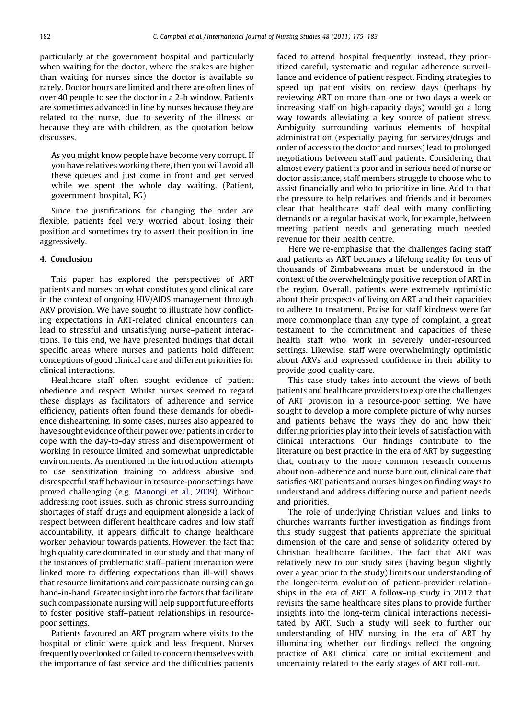particularly at the government hospital and particularly when waiting for the doctor, where the stakes are higher than waiting for nurses since the doctor is available so rarely. Doctor hours are limited and there are often lines of over 40 people to see the doctor in a 2-h window. Patients are sometimes advanced in line by nurses because they are related to the nurse, due to severity of the illness, or because they are with children, as the quotation below discusses.

As you might know people have become very corrupt. If you have relatives working there, then you will avoid all these queues and just come in front and get served while we spent the whole day waiting. (Patient, government hospital, FG)

Since the justifications for changing the order are flexible, patients feel very worried about losing their position and sometimes try to assert their position in line aggressively.

#### 4. Conclusion

This paper has explored the perspectives of ART patients and nurses on what constitutes good clinical care in the context of ongoing HIV/AIDS management through ARV provision. We have sought to illustrate how conflicting expectations in ART-related clinical encounters can lead to stressful and unsatisfying nurse–patient interactions. To this end, we have presented findings that detail specific areas where nurses and patients hold different conceptions of good clinical care and different priorities for clinical interactions.

Healthcare staff often sought evidence of patient obedience and respect. Whilst nurses seemed to regard these displays as facilitators of adherence and service efficiency, patients often found these demands for obedience disheartening. In some cases, nurses also appeared to have sought evidence of their power over patients in order to cope with the day-to-day stress and disempowerment of working in resource limited and somewhat unpredictable environments. As mentioned in the introduction, attempts to use sensitization training to address abusive and disrespectful staff behaviour in resource-poor settings have proved challenging (e.g. [Manongi et al., 2009\)](#page-8-0). Without addressing root issues, such as chronic stress surrounding shortages of staff, drugs and equipment alongside a lack of respect between different healthcare cadres and low staff accountability, it appears difficult to change healthcare worker behaviour towards patients. However, the fact that high quality care dominated in our study and that many of the instances of problematic staff–patient interaction were linked more to differing expectations than ill-will shows that resource limitations and compassionate nursing can go hand-in-hand. Greater insight into the factors that facilitate such compassionate nursing will help support future efforts to foster positive staff–patient relationships in resourcepoor settings.

Patients favoured an ART program where visits to the hospital or clinic were quick and less frequent. Nurses frequently overlooked or failed to concern themselves with the importance of fast service and the difficulties patients

faced to attend hospital frequently; instead, they prioritized careful, systematic and regular adherence surveillance and evidence of patient respect. Finding strategies to speed up patient visits on review days (perhaps by reviewing ART on more than one or two days a week or increasing staff on high-capacity days) would go a long way towards alleviating a key source of patient stress. Ambiguity surrounding various elements of hospital administration (especially paying for services/drugs and order of access to the doctor and nurses) lead to prolonged negotiations between staff and patients. Considering that almost every patient is poor and in serious need of nurse or doctor assistance, staff members struggle to choose who to assist financially and who to prioritize in line. Add to that the pressure to help relatives and friends and it becomes clear that healthcare staff deal with many conflicting demands on a regular basis at work, for example, between meeting patient needs and generating much needed revenue for their health centre.

Here we re-emphasise that the challenges facing staff and patients as ART becomes a lifelong reality for tens of thousands of Zimbabweans must be understood in the context of the overwhelmingly positive reception of ART in the region. Overall, patients were extremely optimistic about their prospects of living on ART and their capacities to adhere to treatment. Praise for staff kindness were far more commonplace than any type of complaint, a great testament to the commitment and capacities of these health staff who work in severely under-resourced settings. Likewise, staff were overwhelmingly optimistic about ARVs and expressed confidence in their ability to provide good quality care.

This case study takes into account the views of both patients and healthcare providers to explore the challenges of ART provision in a resource-poor setting. We have sought to develop a more complete picture of why nurses and patients behave the ways they do and how their differing priorities play into their levels of satisfaction with clinical interactions. Our findings contribute to the literature on best practice in the era of ART by suggesting that, contrary to the more common research concerns about non-adherence and nurse burn out, clinical care that satisfies ART patients and nurses hinges on finding ways to understand and address differing nurse and patient needs and priorities.

The role of underlying Christian values and links to churches warrants further investigation as findings from this study suggest that patients appreciate the spiritual dimension of the care and sense of solidarity offered by Christian healthcare facilities. The fact that ART was relatively new to our study sites (having begun slightly over a year prior to the study) limits our understanding of the longer-term evolution of patient-provider relationships in the era of ART. A follow-up study in 2012 that revisits the same healthcare sites plans to provide further insights into the long-term clinical interactions necessitated by ART. Such a study will seek to further our understanding of HIV nursing in the era of ART by illuminating whether our findings reflect the ongoing practice of ART clinical care or initial excitement and uncertainty related to the early stages of ART roll-out.